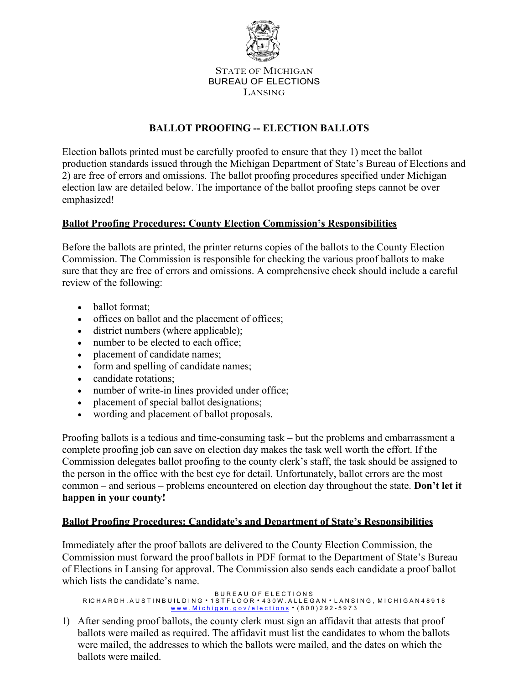

STATE OF MICHIGAN BUREAU OF ELECTIONS LANSING

# **BALLOT PROOFING -- ELECTION BALLOTS**

Election ballots printed must be carefully proofed to ensure that they 1) meet the ballot production standards issued through the Michigan Department of State's Bureau of Elections and 2) are free of errors and omissions. The ballot proofing procedures specified under Michigan election law are detailed below. The importance of the ballot proofing steps cannot be over emphasized!

## **Ballot Proofing Procedures: County Election Commission's Responsibilities**

Before the ballots are printed, the printer returns copies of the ballots to the County Election Commission. The Commission is responsible for checking the various proof ballots to make sure that they are free of errors and omissions. A comprehensive check should include a careful review of the following:

- ballot format:
- offices on ballot and the placement of offices;
- district numbers (where applicable);
- number to be elected to each office;
- placement of candidate names;
- form and spelling of candidate names;
- candidate rotations:
- number of write-in lines provided under office;
- placement of special ballot designations;
- wording and placement of ballot proposals.

Proofing ballots is a tedious and time-consuming task – but the problems and embarrassment a complete proofing job can save on election day makes the task well worth the effort. If the Commission delegates ballot proofing to the county clerk's staff, the task should be assigned to the person in the office with the best eye for detail. Unfortunately, ballot errors are the most common – and serious – problems encountered on election day throughout the state. **Don't let it happen in your county!**

## **Ballot Proofing Procedures: Candidate's and Department of State's Responsibilities**

Immediately after the proof ballots are delivered to the County Election Commission, the Commission must forward the proof ballots in PDF format to the Department of State's Bureau of Elections in Lansing for approval. The Commission also sends each candidate a proof ballot which lists the candidate's name.

```
B U R E A U O F E L E C T I O N S
R IC H A R D H . A U S T I N B U I L D I N G  1 S T F L O O R  4 3 0 W . A L L E G A N  L A N S I N G , M I C H I G A N 4 8 9 1 8
                                w w w . M i c h i g a n . g o v / e l e c t i o n s</u> • (800)292 - 5973
```
1) After sending proof ballots, the county clerk must sign an affidavit that attests that proof ballots were mailed as required. The affidavit must list the candidates to whom the ballots were mailed, the addresses to which the ballots were mailed, and the dates on which the ballots were mailed.